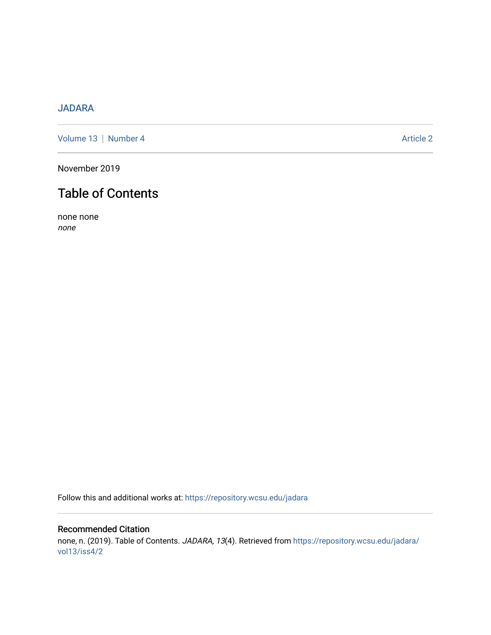## [JADARA](https://repository.wcsu.edu/jadara)

[Volume 13](https://repository.wcsu.edu/jadara/vol13) | [Number 4](https://repository.wcsu.edu/jadara/vol13/iss4) Article 2

November 2019

# Table of Contents

none none none

Follow this and additional works at: [https://repository.wcsu.edu/jadara](https://repository.wcsu.edu/jadara?utm_source=repository.wcsu.edu%2Fjadara%2Fvol13%2Fiss4%2F2&utm_medium=PDF&utm_campaign=PDFCoverPages)

### Recommended Citation none, n. (2019). Table of Contents. JADARA, 13(4). Retrieved from [https://repository.wcsu.edu/jadara/](https://repository.wcsu.edu/jadara/vol13/iss4/2?utm_source=repository.wcsu.edu%2Fjadara%2Fvol13%2Fiss4%2F2&utm_medium=PDF&utm_campaign=PDFCoverPages) [vol13/iss4/2](https://repository.wcsu.edu/jadara/vol13/iss4/2?utm_source=repository.wcsu.edu%2Fjadara%2Fvol13%2Fiss4%2F2&utm_medium=PDF&utm_campaign=PDFCoverPages)